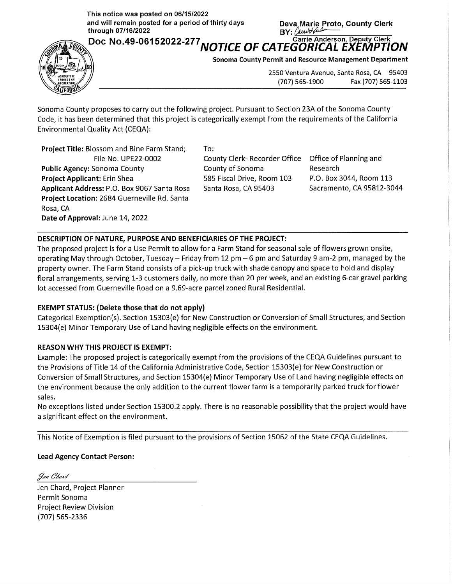**This notice was posted on 06/15/2022**  and will remain posted for a period of thirty days **Deva Marie Proto, County Clerk**<br> **BY:** <u>Cumbar BY:</u> BY: **Allection** 

 $\frac{1}{2}$ 



**Doc No.49-06152022-277 NOTICE OF CATEGORICAL EXEMPTION** 

**Sonoma County Permit and Resource Management Department** 

2550 Ventura Avenue, Santa Rosa, CA 95403 {707) 565-1900 Fax {707) 565-1103

Sonoma County proposes to carry out the following project. Pursuant to Section 23A of the Sonoma County Code, it has been determined that this project is categorically exempt from the requirements of the California Environmental Quality Act {CEQA):

**Project Title:** Blossom and Bine Farm Stand; File No. UPE22-0002 **Public Agency:** Sonoma County **Project Applicant:** Erin Shea **Applicant Address:** P.O. Box 9067 Santa Rosa **Project Location:** 2684 Guerneville Rd. Santa Rosa, CA **Date of Approval:** June 14, 2022

To:

County Clerk- Recorder Office Office of Planning and County of Sonoma 585 Fiscal Drive, Room 103 Santa Rosa, CA 95403

Research P.O. Box 3044, Room 113 Sacramento, CA 95812-3044

## **DESCRIPTION OF NATURE, PURPOSE AND BENEFICIARIES OF THE PROJECT:**

The proposed project is for a Use Permit to allow for a Farm Stand for seasonal sale of flowers grown onsite, operating May through October, Tuesday- Friday from 12 pm - 6 pm and Saturday 9 am-2 pm, managed by the property owner. The Farm Stand consists of a pick-up truck with shade canopy and space to hold and display floral arrangements, serving 1-3 customers daily, no more than 20 per week, and an existing 6-car gravel parking lot accessed from Guerneville Road on a 9.69-acre parcel zoned Rural Residential.

## **EXEMPT STATUS: (Delete those that do not apply)**

Categorical Exemption(s). Section 15303{e) for New Construction or Conversion of Small Structures, and Section 15304{e) Minor Temporary Use of Land having negligible effects on the environment.

## **REASON WHY THIS PROJECT IS EXEMPT:**

Example: The proposed project is categorically exempt from the provisions of the CEQA Guidelines pursuant to the Provisions of Title 14 of the California Administrative Code, Section 15303{e) for New Construction or Conversion of Small Structures, and Section 15304{e) Minor Temporary Use of Land having negligible effects on the environment because the only addition to the current flower farm is a temporarily parked truck for flower sales.

No exceptions listed under Section 15300.2 apply. There is no reasonable possibility that the project would have a significant effect on the environment.

This Notice of Exemption is filed pursuant to the provisions of Section 15062 of the State CEQA Guidelines.

## **Lead Agency Contact Person:**

Jen Chard

Jen Chard, Project Planner Permit Sonoma Project Review Division {707) 565-2336